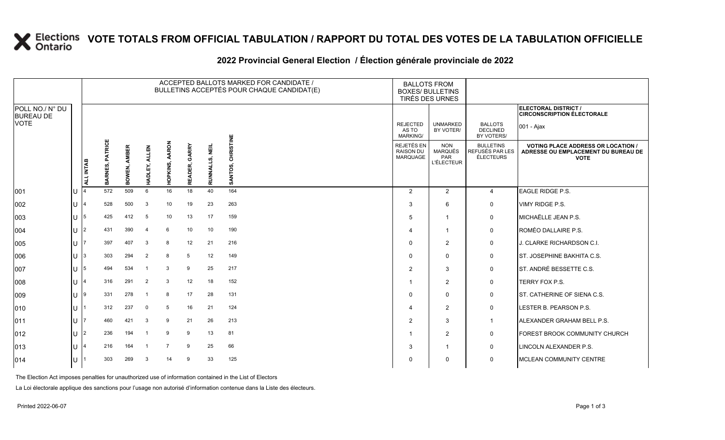### **VOTE TOTALS FROM OFFICIAL TABULATION / RAPPORT DU TOTAL DES VOTES DE LA TABULATION OFFICIELLE**

#### 2022 Provincial General Election / Election générale provinciale de 2022

|                                     |   |                |                 |                     |                         |                   |                  |                | ACCEPTED BALLOTS MARKED FOR CANDIDATE /<br>BULLETINS ACCEPTÉS POUR CHAQUE CANDIDAT(E) | <b>BALLOTS FROM</b><br><b>BOXES/ BULLETINS</b><br>TIRÉS DES URNES |                                                          |                                                  |                                                                                                 |
|-------------------------------------|---|----------------|-----------------|---------------------|-------------------------|-------------------|------------------|----------------|---------------------------------------------------------------------------------------|-------------------------------------------------------------------|----------------------------------------------------------|--------------------------------------------------|-------------------------------------------------------------------------------------------------|
| POLL NO./ N° DU<br><b>BUREAU DE</b> |   |                |                 |                     |                         |                   |                  |                |                                                                                       |                                                                   |                                                          |                                                  | ELECTORAL DISTRICT /<br><b>CIRCONSCRIPTION ÉLECTORALE</b>                                       |
| <b>VOTE</b>                         |   |                |                 |                     |                         |                   |                  |                |                                                                                       | <b>REJECTED</b><br>AS TO<br>MARKING/                              | <b>UNMARKED</b><br>BY VOTER/                             | <b>BALLOTS</b><br><b>DECLINED</b><br>BY VOTERS/  | 001 - Ajax                                                                                      |
|                                     |   | ALI, INTAB     | BARNES, PATRICE | <b>BOWEN, AMBER</b> | <b>ALLEN</b><br>HADLEY, | AARON<br>HOPKINS, | GARRY<br>READER, | RUNNALLS, NEIL | CHRISTINE<br>SANTOS,                                                                  | REJETÉS EN<br><b>RAISON DU</b><br>MARQUAGE                        | <b>NON</b><br><b>MARQUÉS</b><br>PAR<br><b>L'ÉLECTEUR</b> | <b>BULLETINS</b><br>REFUSÉS PAR LES<br>ÉLECTEURS | <b>VOTING PLACE ADDRESS OR LOCATION /</b><br>ADRESSE OU EMPLACEMENT DU BUREAU DE<br><b>VOTE</b> |
| 001                                 |   |                | 572             | 509                 | 6                       | 16                | 18               | 40             | 164                                                                                   | $\overline{2}$                                                    | 2                                                        | $\overline{4}$                                   | EAGLE RIDGE P.S.                                                                                |
| 002                                 | U |                | 528             | 500                 | $\mathbf{3}$            | 10                | 19               | 23             | 263                                                                                   | 3                                                                 | 6                                                        | 0                                                | VIMY RIDGE P.S.                                                                                 |
| 003                                 | U | 5              | 425             | 412                 | - 5                     | 10                | 13               | 17             | 159                                                                                   | 5                                                                 | $\overline{1}$                                           | 0                                                | MICHAËLLE JEAN P.S.                                                                             |
| 004                                 | U | 2              | 431             | 390                 | -4                      | 6                 | 10               | 10             | 190                                                                                   | 4                                                                 | $\overline{\mathbf{1}}$                                  | 0                                                | ROMÉO DALLAIRE P.S.                                                                             |
| 005                                 | U |                | 397             | 407                 | 3                       | 8                 | 12               | 21             | 216                                                                                   | $\Omega$                                                          | $\overline{2}$                                           | 0                                                | J. CLARKE RICHARDSON C.I.                                                                       |
| 006                                 | U | 3              | 303             | 294                 | $\overline{2}$          | 8                 | 5                | 12             | 149                                                                                   | $\Omega$                                                          | $\mathbf 0$                                              | $\mathbf 0$                                      | <b>ST. JOSEPHINE BAKHITA C.S.</b>                                                               |
| 007                                 | U | 5              | 494             | 534                 | - 1                     | 3                 | 9                | 25             | 217                                                                                   | 2                                                                 | 3                                                        | 0                                                | ST. ANDRÉ BESSETTE C.S.                                                                         |
| 008                                 |   |                | 316             | 291                 | $\overline{2}$          | $\mathbf{3}$      | 12               | 18             | 152                                                                                   |                                                                   | 2                                                        | 0                                                | TERRY FOX P.S.                                                                                  |
| 009                                 | U | 9              | 331             | 278                 | - 1                     | 8                 | 17               | 28             | 131                                                                                   | $\Omega$                                                          | $\Omega$                                                 | 0                                                | <b>ST. CATHERINE OF SIENA C.S.</b>                                                              |
| 010                                 | U |                | 312             | 237                 | $\mathbf 0$             | 5                 | 16               | 21             | 124                                                                                   |                                                                   | $\overline{2}$                                           | 0                                                | LESTER B. PEARSON P.S.                                                                          |
| 011                                 | U |                | 460             | 421                 | 3                       | 9                 | 21               | 26             | 213                                                                                   | 2                                                                 | 3                                                        | $\overline{1}$                                   | <b>ALEXANDER GRAHAM BELL P.S.</b>                                                               |
| 012                                 | U | $\overline{2}$ | 236             | 194                 | - 1                     | 9                 | 9                | 13             | 81                                                                                    |                                                                   | 2                                                        | 0                                                | FOREST BROOK COMMUNITY CHURCH                                                                   |
| 013                                 |   |                | 216             | 164                 | $\overline{1}$          | 7                 | 9                | 25             | 66                                                                                    | 3                                                                 | $\mathbf{1}$                                             | 0                                                | LINCOLN ALEXANDER P.S.                                                                          |
| 014                                 |   |                | 303             | 269                 | 3                       | 14                | 9                | 33             | 125                                                                                   | 0                                                                 | $\Omega$                                                 | $\mathbf 0$                                      | <b>MCLEAN COMMUNITY CENTRE</b>                                                                  |

The Election Act imposes penalties for unauthorized use of information contained in the List of Electors

La Loi électorale applique des sanctions pour l'usage non autorisé d'information contenue dans la Liste des électeurs.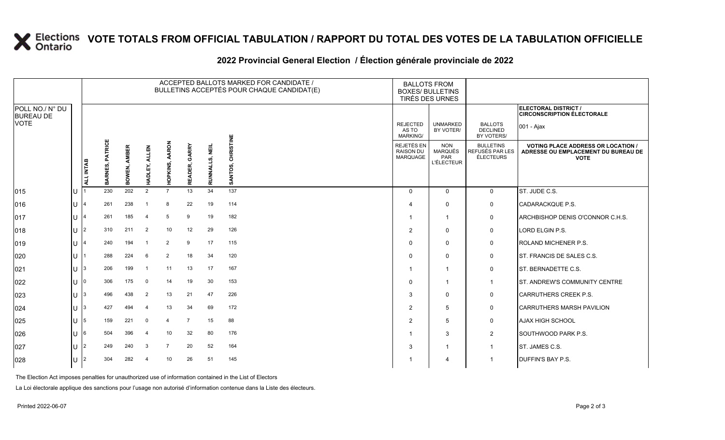# **X** Elections VOTE TOTALS FROM OFFICIAL TABULATION / RAPPORT DU TOTAL DES VOTES DE LA TABULATION OFFICIELLE

#### **2022 Provincial General Election / Élection générale provinciale de 2022**

|                                     |     |                         |                           |                        |                         |                          |                  |                     | ACCEPTED BALLOTS MARKED FOR CANDIDATE /<br>BULLETINS ACCEPTÉS POUR CHAQUE CANDIDAT(E) |                                            | <b>BALLOTS FROM</b><br><b>BOXES/ BULLETINS</b><br>TIRÉS DES URNES |                                                         |                                                                                                 |
|-------------------------------------|-----|-------------------------|---------------------------|------------------------|-------------------------|--------------------------|------------------|---------------------|---------------------------------------------------------------------------------------|--------------------------------------------|-------------------------------------------------------------------|---------------------------------------------------------|-------------------------------------------------------------------------------------------------|
| POLL NO./ N° DU<br><b>BUREAU DE</b> |     |                         |                           |                        |                         |                          |                  |                     |                                                                                       |                                            |                                                                   |                                                         | ELECTORAL DISTRICT /<br><b>CIRCONSCRIPTION ÉLECTORALE</b>                                       |
| <b>VOTE</b>                         |     |                         |                           |                        |                         |                          |                  |                     |                                                                                       | <b>REJECTED</b><br>AS TO<br>MARKING/       | <b>UNMARKED</b><br>BY VOTER/                                      | <b>BALLOTS</b><br><b>DECLINED</b><br>BY VOTERS/         | 001 - Ajax                                                                                      |
|                                     |     | ALI, INTAB              | <b>PATRICE</b><br>BARNES, | <b>AMBER</b><br>BOWEN, | <b>ALLEN</b><br>HADLEY, | <b>AARON</b><br>HOPKINS, | GARRY<br>READER, | .S, NEIL<br>RUNNALL | <b>CHRISTINE</b><br>SANTOS,                                                           | REJETÉS EN<br><b>RAISON DU</b><br>MARQUAGE | <b>NON</b><br><b>MARQUÉS</b><br>PAR<br><b>L'ÉLECTEUR</b>          | <b>BULLETINS</b><br>REFUSÉS PAR LES<br><b>ÉLECTEURS</b> | <b>VOTING PLACE ADDRESS OR LOCATION /</b><br>ADRESSE OU EMPLACEMENT DU BUREAU DE<br><b>VOTE</b> |
| 015                                 | ΙU  |                         | 230                       | 202                    | 2                       | $\overline{7}$           | 13               | 34                  | 137                                                                                   | $\Omega$                                   | $\mathbf 0$                                                       | $\mathbf 0$                                             | ST. JUDE C.S.                                                                                   |
| 016                                 | lul | 4                       | 261                       | 238                    | - 1                     | 8                        | 22               | 19                  | 114                                                                                   | 4                                          | 0                                                                 | 0                                                       | <b>CADARACKQUE P.S.</b>                                                                         |
| 017                                 | lu  | $\overline{\mathbf{A}}$ | 261                       | 185                    | $\overline{4}$          | 5                        | 9                | 19                  | 182                                                                                   |                                            | $\overline{1}$                                                    | $\mathbf 0$                                             | ARCHBISHOP DENIS O'CONNOR C.H.S.                                                                |
| 018                                 | IП  | $\overline{2}$          | 310                       | 211                    | 2                       | 10                       | 12               | 29                  | 126                                                                                   | 2                                          | $\mathbf 0$                                                       | 0                                                       | LORD ELGIN P.S.                                                                                 |
| 019                                 | lU. | 4                       | 240                       | 194                    | -1                      | $\overline{2}$           | 9                | 17                  | 115                                                                                   | 0                                          | $\mathbf 0$                                                       | 0                                                       | ROLAND MICHENER P.S.                                                                            |
| 020                                 | Ш   |                         | 288                       | 224                    | 6                       | $\overline{2}$           | 18               | 34                  | 120                                                                                   |                                            | $\mathbf 0$                                                       | 0                                                       | ST. FRANCIS DE SALES C.S.                                                                       |
| 021                                 | IП  | 3                       | 206                       | 199                    | -1                      | 11                       | 13               | 17                  | 167                                                                                   |                                            | 1                                                                 | $\mathbf 0$                                             | ST. BERNADETTE C.S.                                                                             |
| 022                                 | lu  |                         | 306                       | 175                    | $\overline{0}$          | 14                       | 19               | 30                  | 153                                                                                   | O                                          |                                                                   | $\overline{1}$                                          | ST. ANDREW'S COMMUNITY CENTRE                                                                   |
| 023                                 | lu- | 3                       | 496                       | 438                    | $\overline{2}$          | 13                       | 21               | 47                  | 226                                                                                   | 3                                          | $\mathbf 0$                                                       | 0                                                       | <b>CARRUTHERS CREEK P.S.</b>                                                                    |
| 024                                 | lu  | 3                       | 427                       | 494                    | $\overline{4}$          | 13                       | 34               | 69                  | 172                                                                                   | 2                                          | 5                                                                 | $\mathbf 0$                                             | <b>CARRUTHERS MARSH PAVILION</b>                                                                |
| 025                                 | lU. | 5                       | 159                       | 221                    | $\mathbf{0}$            | $\overline{4}$           | 7                | 15                  | 88                                                                                    | 2                                          | 5                                                                 | 0                                                       | <b>AJAX HIGH SCHOOL</b>                                                                         |
| 026                                 | lU  | 6                       | 504                       | 396                    | 4                       | 10                       | 32               | 80                  | 176                                                                                   |                                            | 3                                                                 | $\overline{2}$                                          | SOUTHWOOD PARK P.S.                                                                             |
| 027                                 | IП  | $\overline{2}$          | 249                       | 240                    | 3                       | $\overline{7}$           | 20               | 52                  | 164                                                                                   | 3                                          |                                                                   | $\overline{1}$                                          | ST. JAMES C.S.                                                                                  |
| 028                                 | lu  | $\overline{2}$          | 304                       | 282                    | 4                       | 10                       | 26               | 51                  | 145                                                                                   |                                            | 4                                                                 | $\mathbf 1$                                             | DUFFIN'S BAY P.S.                                                                               |

The Election Act imposes penalties for unauthorized use of information contained in the List of Electors

La Loi électorale applique des sanctions pour l'usage non autorisé d'information contenue dans la Liste des électeurs.